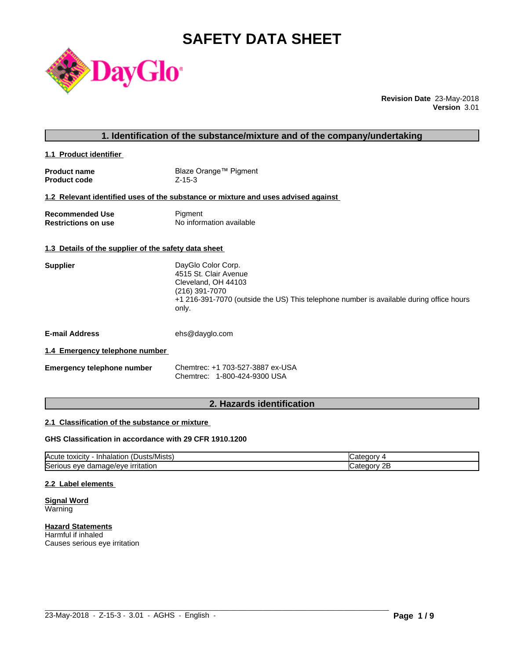# **SAFETY DATA SHEET**



**Revision Date** 23-May-2018 **Version** 3.01

**1.1 Product identifier** 

| <b>Product name</b> | Blaze Orange™ Pigment |
|---------------------|-----------------------|
| <b>Product code</b> | $Z - 15 - 3$          |

### **1.2 Relevant identified uses of the substance or mixture and uses advised against**

| <b>Recommended Use</b>     | Pigment                  |
|----------------------------|--------------------------|
| <b>Restrictions on use</b> | No information available |

#### **1.3 Details of the supplier of the safety data sheet**

| <b>Supplier</b> | DayGlo Color Corp.                                                                      |
|-----------------|-----------------------------------------------------------------------------------------|
|                 | 4515 St. Clair Avenue                                                                   |
|                 | Cleveland, OH 44103                                                                     |
|                 | (216) 391-7070                                                                          |
|                 | +1 216-391-7070 (outside the US) This telephone number is available during office hours |
|                 | only.                                                                                   |
|                 |                                                                                         |

**E-mail Address** ehs@dayglo.com

#### **1.4 Emergency telephone number**

| <b>Emergency telephone number</b> | Chemtrec: +1 703-527-3887 ex-USA |
|-----------------------------------|----------------------------------|
|                                   | Chemtrec: 1-800-424-9300 USA     |

# **2. Hazards identification**

#### **2.1 Classification of the substance or mixture**

#### **GHS Classification in accordance with 29 CFR 1910.1200**

| $\mathbf{r}$<br>Acute<br>.Dusts/Mists) .<br>· Inhalation<br>, toxicity     | עזרור                   |
|----------------------------------------------------------------------------|-------------------------|
| ∽<br>.nage/eve<br>irritation<br><b>ISeric</b><br>11 I C<br>eve<br>aar<br>. | റ⊏<br>עזנונו<br>45<br>. |

 $\_$  ,  $\_$  ,  $\_$  ,  $\_$  ,  $\_$  ,  $\_$  ,  $\_$  ,  $\_$  ,  $\_$  ,  $\_$  ,  $\_$  ,  $\_$  ,  $\_$  ,  $\_$  ,  $\_$  ,  $\_$  ,  $\_$  ,  $\_$  ,  $\_$  ,  $\_$  ,  $\_$  ,  $\_$  ,  $\_$  ,  $\_$  ,  $\_$  ,  $\_$  ,  $\_$  ,  $\_$  ,  $\_$  ,  $\_$  ,  $\_$  ,  $\_$  ,  $\_$  ,  $\_$  ,  $\_$  ,  $\_$  ,  $\_$  ,

#### **2.2 Label elements**

**Signal Word Warning** 

**Hazard Statements** Harmful if inhaled Causes serious eye irritation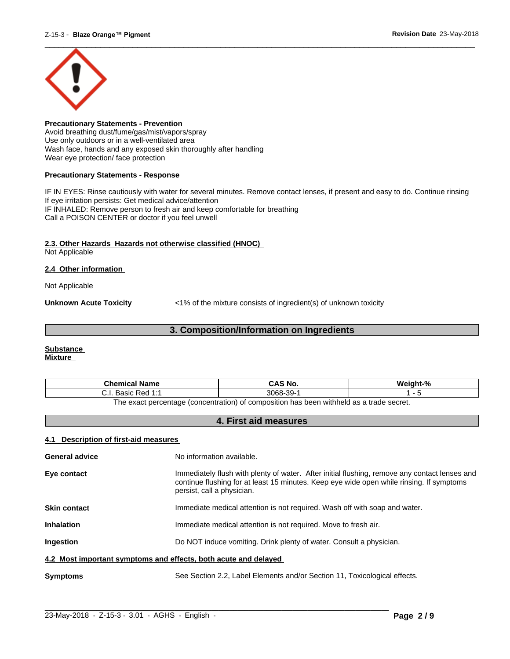

**Precautionary Statements - Prevention** Avoid breathing dust/fume/gas/mist/vapors/spray Use only outdoors or in a well-ventilated area Wash face, hands and any exposed skin thoroughly after handling Wear eye protection/ face protection

#### **Precautionary Statements - Response**

IF IN EYES: Rinse cautiously with water for several minutes. Remove contact lenses, if present and easy to do. Continue rinsing If eye irritation persists: Get medical advice/attention IF INHALED: Remove person to fresh air and keep comfortable for breathing Call a POISON CENTER or doctor if you feel unwell

#### **2.3. Other Hazards Hazards not otherwise classified (HNOC)**

Not Applicable

#### **2.4 Other information**

Not Applicable

**Unknown Acute Toxicity**  $\langle 1\%$  of the mixture consists of ingredient(s) of unknown toxicity

# **3. Composition/Information on Ingredients**

#### **Substance Mixture**

| Chemical<br>∣ Name                                                                      | `S No.<br>CA.              | $\mathbf{a}$ |
|-----------------------------------------------------------------------------------------|----------------------------|--------------|
| <b>Dod 1.4</b><br>20010<br>n sa<br>ن.<br>Dasit<br>.                                     | 3068<br>$\sim$<br>99-<br>ີ |              |
| The exact perceptage (conceptration) of compecition has been withhold as a trade secret |                            |              |

The exact percentage (concentration) of composition has been withheld as a trade secret.

# **4. First aid measures**

### **4.1 Description of first-aid measures**

| <b>General advice</b>                                           | No information available.                                                                                                                                                                                               |  |
|-----------------------------------------------------------------|-------------------------------------------------------------------------------------------------------------------------------------------------------------------------------------------------------------------------|--|
| Eye contact                                                     | Immediately flush with plenty of water. After initial flushing, remove any contact lenses and<br>continue flushing for at least 15 minutes. Keep eye wide open while rinsing. If symptoms<br>persist, call a physician. |  |
| <b>Skin contact</b>                                             | Immediate medical attention is not required. Wash off with soap and water.                                                                                                                                              |  |
| <b>Inhalation</b>                                               | Immediate medical attention is not required. Move to fresh air.                                                                                                                                                         |  |
| <b>Ingestion</b>                                                | Do NOT induce vomiting. Drink plenty of water. Consult a physician.                                                                                                                                                     |  |
| 4.2 Most important symptoms and effects, both acute and delayed |                                                                                                                                                                                                                         |  |
| <b>Symptoms</b>                                                 | See Section 2.2, Label Elements and/or Section 11, Toxicological effects.                                                                                                                                               |  |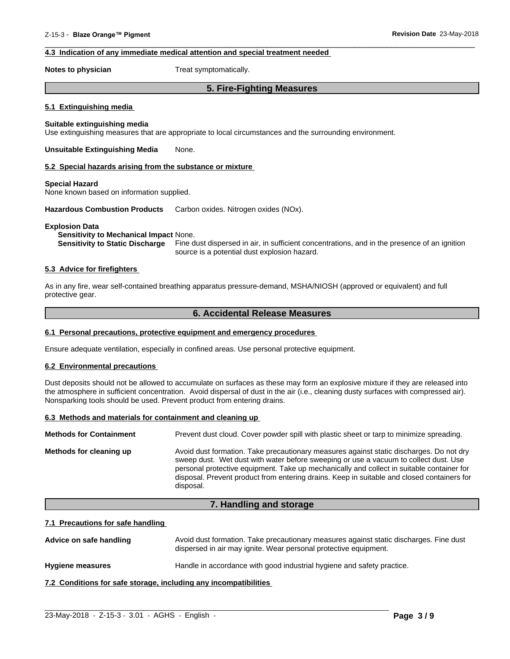### **4.3 Indication of any immediate medical attention and special treatment needed**

**Notes to physician** Treat symptomatically.

# **5. Fire-Fighting Measures**

 $\overline{\phantom{a}}$  ,  $\overline{\phantom{a}}$  ,  $\overline{\phantom{a}}$  ,  $\overline{\phantom{a}}$  ,  $\overline{\phantom{a}}$  ,  $\overline{\phantom{a}}$  ,  $\overline{\phantom{a}}$  ,  $\overline{\phantom{a}}$  ,  $\overline{\phantom{a}}$  ,  $\overline{\phantom{a}}$  ,  $\overline{\phantom{a}}$  ,  $\overline{\phantom{a}}$  ,  $\overline{\phantom{a}}$  ,  $\overline{\phantom{a}}$  ,  $\overline{\phantom{a}}$  ,  $\overline{\phantom{a}}$ 

#### **5.1 Extinguishing media**

#### **Suitable extinguishing media**

Use extinguishing measures that are appropriate to local circumstances and the surrounding environment.

**Unsuitable Extinguishing Media** None.

#### **5.2 Special hazards arising from the substance or mixture**

#### **Special Hazard**

None known based on information supplied.

**Hazardous Combustion Products** Carbon oxides. Nitrogen oxides (NOx).

#### **Explosion Data**

#### **Sensitivity to Mechanical Impact** None.

**Sensitivity to Static Discharge** Fine dust dispersed in air, in sufficient concentrations, and in the presence of an ignition source is a potential dust explosion hazard.

#### **5.3 Advice for firefighters**

As in any fire, wear self-contained breathing apparatus pressure-demand, MSHA/NIOSH (approved or equivalent) and full protective gear.

### **6. Accidental Release Measures**

#### **6.1 Personal precautions, protective equipment and emergency procedures**

Ensure adequate ventilation, especially in confined areas. Use personal protective equipment.

#### **6.2 Environmental precautions**

Dust deposits should not be allowed to accumulate on surfaces as these may form an explosive mixture if they are released into the atmosphere in sufficient concentration. Avoid dispersal of dust in the air (i.e., cleaning dusty surfaces with compressed air). Nonsparking tools should be used. Prevent product from entering drains.

#### **6.3 Methods and materials for containment and cleaning up**

| <b>Methods for Containment</b> | Prevent dust cloud. Cover powder spill with plastic sheet or tarp to minimize spreading.                                                                                                                                                                                                                                                                                                |
|--------------------------------|-----------------------------------------------------------------------------------------------------------------------------------------------------------------------------------------------------------------------------------------------------------------------------------------------------------------------------------------------------------------------------------------|
| Methods for cleaning up        | Avoid dust formation. Take precautionary measures against static discharges. Do not dry<br>sweep dust. Wet dust with water before sweeping or use a vacuum to collect dust. Use<br>personal protective equipment. Take up mechanically and collect in suitable container for<br>disposal. Prevent product from entering drains. Keep in suitable and closed containers for<br>disposal. |

#### **7. Handling and storage**

#### **7.1 Precautions for safe handling**

Advice on safe handling **Avoid dust formation. Take precautionary measures against static discharges. Fine dust** dispersed in air may ignite. Wear personal protective equipment.

 $\_$  ,  $\_$  ,  $\_$  ,  $\_$  ,  $\_$  ,  $\_$  ,  $\_$  ,  $\_$  ,  $\_$  ,  $\_$  ,  $\_$  ,  $\_$  ,  $\_$  ,  $\_$  ,  $\_$  ,  $\_$  ,  $\_$  ,  $\_$  ,  $\_$  ,  $\_$  ,  $\_$  ,  $\_$  ,  $\_$  ,  $\_$  ,  $\_$  ,  $\_$  ,  $\_$  ,  $\_$  ,  $\_$  ,  $\_$  ,  $\_$  ,  $\_$  ,  $\_$  ,  $\_$  ,  $\_$  ,  $\_$  ,  $\_$  ,

**Hygiene measures** Handle in accordance with good industrial hygiene and safety practice.

**7.2 Conditions for safe storage, including any incompatibilities**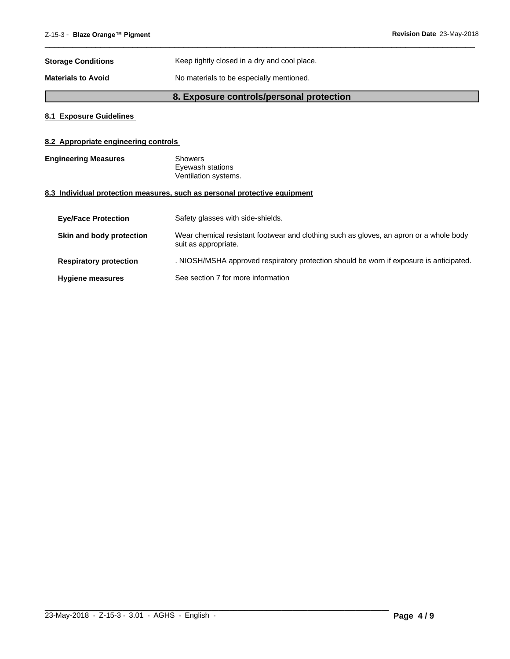| <b>Storage Conditions</b> | Keep tightly closed in a dry and cool place. |
|---------------------------|----------------------------------------------|
| <b>Materials to Avoid</b> | No materials to be especially mentioned.     |

# **8. Exposure controls/personal protection**

 $\overline{\phantom{a}}$  ,  $\overline{\phantom{a}}$  ,  $\overline{\phantom{a}}$  ,  $\overline{\phantom{a}}$  ,  $\overline{\phantom{a}}$  ,  $\overline{\phantom{a}}$  ,  $\overline{\phantom{a}}$  ,  $\overline{\phantom{a}}$  ,  $\overline{\phantom{a}}$  ,  $\overline{\phantom{a}}$  ,  $\overline{\phantom{a}}$  ,  $\overline{\phantom{a}}$  ,  $\overline{\phantom{a}}$  ,  $\overline{\phantom{a}}$  ,  $\overline{\phantom{a}}$  ,  $\overline{\phantom{a}}$ 

### **8.1 Exposure Guidelines**

# **8.2 Appropriate engineering controls**

| <b>Engineering Measures</b> | Showers              |  |
|-----------------------------|----------------------|--|
|                             | Eyewash stations     |  |
|                             | Ventilation systems. |  |

### **8.3 Individual protection measures, such as personal protective equipment**

| <b>Eve/Face Protection</b>    | Safety glasses with side-shields.                                                                              |
|-------------------------------|----------------------------------------------------------------------------------------------------------------|
| Skin and body protection      | Wear chemical resistant footwear and clothing such as gloves, an apron or a whole body<br>suit as appropriate. |
| <b>Respiratory protection</b> | . NIOSH/MSHA approved respiratory protection should be worn if exposure is anticipated.                        |
| <b>Hygiene measures</b>       | See section 7 for more information                                                                             |

 $\_$  ,  $\_$  ,  $\_$  ,  $\_$  ,  $\_$  ,  $\_$  ,  $\_$  ,  $\_$  ,  $\_$  ,  $\_$  ,  $\_$  ,  $\_$  ,  $\_$  ,  $\_$  ,  $\_$  ,  $\_$  ,  $\_$  ,  $\_$  ,  $\_$  ,  $\_$  ,  $\_$  ,  $\_$  ,  $\_$  ,  $\_$  ,  $\_$  ,  $\_$  ,  $\_$  ,  $\_$  ,  $\_$  ,  $\_$  ,  $\_$  ,  $\_$  ,  $\_$  ,  $\_$  ,  $\_$  ,  $\_$  ,  $\_$  ,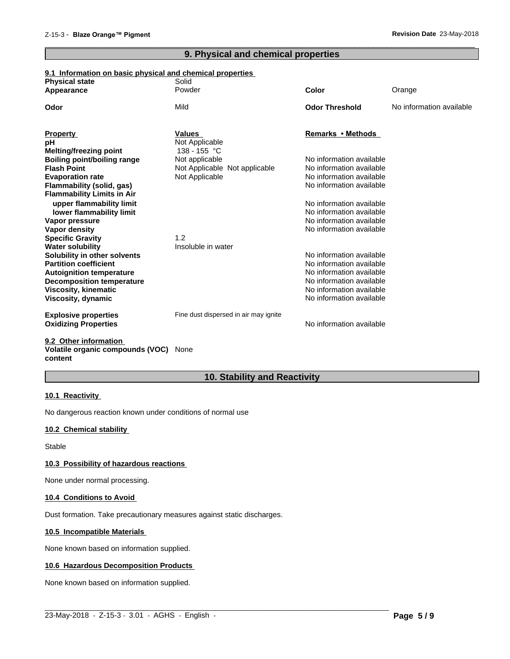# **9. Physical and chemical properties**

 $\overline{\phantom{a}}$  ,  $\overline{\phantom{a}}$  ,  $\overline{\phantom{a}}$  ,  $\overline{\phantom{a}}$  ,  $\overline{\phantom{a}}$  ,  $\overline{\phantom{a}}$  ,  $\overline{\phantom{a}}$  ,  $\overline{\phantom{a}}$  ,  $\overline{\phantom{a}}$  ,  $\overline{\phantom{a}}$  ,  $\overline{\phantom{a}}$  ,  $\overline{\phantom{a}}$  ,  $\overline{\phantom{a}}$  ,  $\overline{\phantom{a}}$  ,  $\overline{\phantom{a}}$  ,  $\overline{\phantom{a}}$ 

## **9.1 Information on basic physical and chemical properties**

| <b>Physical state</b><br>Appearance                      | Solid<br>Powder                                 | Color                                                | Orange                   |
|----------------------------------------------------------|-------------------------------------------------|------------------------------------------------------|--------------------------|
|                                                          |                                                 |                                                      |                          |
| Odor                                                     | Mild                                            | <b>Odor Threshold</b>                                | No information available |
|                                                          |                                                 |                                                      |                          |
| <b>Property</b>                                          | <b>Values</b>                                   | Remarks • Methods                                    |                          |
| pН                                                       | Not Applicable                                  |                                                      |                          |
| Melting/freezing point                                   | 138 - 155 °C                                    | No information available                             |                          |
| <b>Boiling point/boiling range</b><br><b>Flash Point</b> | Not applicable<br>Not Applicable Not applicable | No information available                             |                          |
| <b>Evaporation rate</b>                                  | Not Applicable                                  | No information available                             |                          |
| Flammability (solid, gas)                                |                                                 | No information available                             |                          |
| <b>Flammability Limits in Air</b>                        |                                                 |                                                      |                          |
| upper flammability limit                                 |                                                 | No information available                             |                          |
| lower flammability limit                                 |                                                 | No information available                             |                          |
| Vapor pressure                                           |                                                 | No information available                             |                          |
| Vapor density                                            |                                                 | No information available                             |                          |
| <b>Specific Gravity</b>                                  | 1.2                                             |                                                      |                          |
| <b>Water solubility</b>                                  | Insoluble in water                              |                                                      |                          |
| Solubility in other solvents                             |                                                 | No information available                             |                          |
| <b>Partition coefficient</b>                             |                                                 | No information available                             |                          |
| <b>Autoignition temperature</b>                          |                                                 | No information available                             |                          |
| <b>Decomposition temperature</b>                         |                                                 | No information available                             |                          |
| <b>Viscosity, kinematic</b>                              |                                                 | No information available<br>No information available |                          |
| Viscosity, dynamic                                       |                                                 |                                                      |                          |
| <b>Explosive properties</b>                              | Fine dust dispersed in air may ignite           |                                                      |                          |
| <b>Oxidizing Properties</b>                              |                                                 | No information available                             |                          |
|                                                          |                                                 |                                                      |                          |
| $A \wedge A$ and $A \wedge B$ and $A \wedge B$           |                                                 |                                                      |                          |

#### **9.2 Other information Volatile organic compounds (VOC)** None **content**

# **10. Stability and Reactivity**

 $\_$  ,  $\_$  ,  $\_$  ,  $\_$  ,  $\_$  ,  $\_$  ,  $\_$  ,  $\_$  ,  $\_$  ,  $\_$  ,  $\_$  ,  $\_$  ,  $\_$  ,  $\_$  ,  $\_$  ,  $\_$  ,  $\_$  ,  $\_$  ,  $\_$  ,  $\_$  ,  $\_$  ,  $\_$  ,  $\_$  ,  $\_$  ,  $\_$  ,  $\_$  ,  $\_$  ,  $\_$  ,  $\_$  ,  $\_$  ,  $\_$  ,  $\_$  ,  $\_$  ,  $\_$  ,  $\_$  ,  $\_$  ,  $\_$  ,

#### **10.1 Reactivity**

No dangerous reaction known under conditions of normal use

# **10.2 Chemical stability**

Stable

#### **10.3 Possibility of hazardous reactions**

None under normal processing.

#### **10.4 Conditions to Avoid**

Dust formation. Take precautionary measures against static discharges.

#### **10.5 Incompatible Materials**

None known based on information supplied.

#### **10.6 Hazardous Decomposition Products**

None known based on information supplied.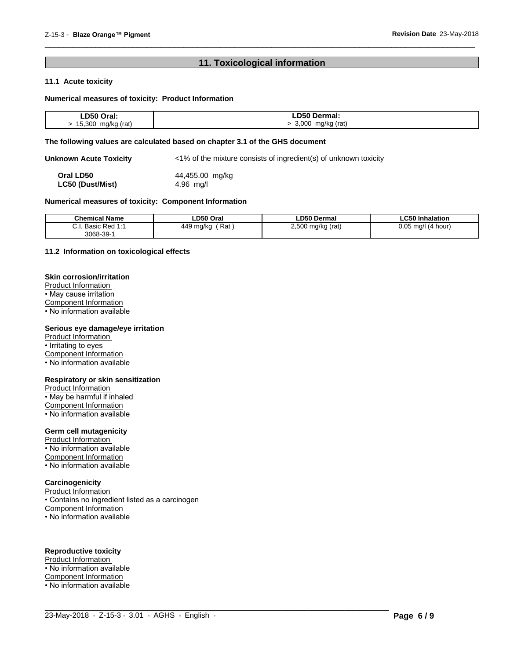# **11. Toxicological information**

 $\overline{\phantom{a}}$  ,  $\overline{\phantom{a}}$  ,  $\overline{\phantom{a}}$  ,  $\overline{\phantom{a}}$  ,  $\overline{\phantom{a}}$  ,  $\overline{\phantom{a}}$  ,  $\overline{\phantom{a}}$  ,  $\overline{\phantom{a}}$  ,  $\overline{\phantom{a}}$  ,  $\overline{\phantom{a}}$  ,  $\overline{\phantom{a}}$  ,  $\overline{\phantom{a}}$  ,  $\overline{\phantom{a}}$  ,  $\overline{\phantom{a}}$  ,  $\overline{\phantom{a}}$  ,  $\overline{\phantom{a}}$ 

### **11.1 Acute toxicity**

#### **Numerical measures of toxicity: Product Information**

| ∟D50<br>Oral:                  | Dermal:                   |
|--------------------------------|---------------------------|
| 5.300<br>mg/kg (rat)<br>Ð<br>. | 3,000<br>mg/kg (rat)<br>. |

#### **The following values are calculated based on chapter 3.1 of the GHS document**

**Unknown Acute Toxicity** <1% of the mixture consists of ingredient(s) of unknown toxicity

**Oral LD50** 44,455.00 mg/kg<br> **LC50 (Dust/Mist)** 4.96 mg/l **LC50** (Dust/Mist)

#### **Numerical measures of toxicity: Component Information**

| <b>Chemical Name</b>                       | LD50 Oral           | <b>LD50 Dermal</b>               | ∟C50 Inhalation          |
|--------------------------------------------|---------------------|----------------------------------|--------------------------|
| Basic<br>$\sim$<br><b>Dod 1.1</b><br>veu i | Rat<br>449<br>ma/kc | 2,500<br>(rat)<br>mg/kg (<br>. . | 0.05<br>ma/l<br>(4 hour) |
| 3068-39-                                   |                     |                                  |                          |

 $\_$  ,  $\_$  ,  $\_$  ,  $\_$  ,  $\_$  ,  $\_$  ,  $\_$  ,  $\_$  ,  $\_$  ,  $\_$  ,  $\_$  ,  $\_$  ,  $\_$  ,  $\_$  ,  $\_$  ,  $\_$  ,  $\_$  ,  $\_$  ,  $\_$  ,  $\_$  ,  $\_$  ,  $\_$  ,  $\_$  ,  $\_$  ,  $\_$  ,  $\_$  ,  $\_$  ,  $\_$  ,  $\_$  ,  $\_$  ,  $\_$  ,  $\_$  ,  $\_$  ,  $\_$  ,  $\_$  ,  $\_$  ,  $\_$  ,

#### **11.2 Information on toxicologicaleffects**

#### **Skin corrosion/irritation**

Product Information • May cause irritation Component Information

 $\overline{\cdot}$  No information available

#### **Serious eye damage/eye irritation**

Product Information • Irritating to eyes Component Information • No information available

#### **Respiratory or skin sensitization**

Product Information • May be harmful if inhaled Component Information • No information available

#### **Germ cell mutagenicity**

Product Information • No information available Component Information • No information available

#### **Carcinogenicity**

Product Information • Contains no ingredient listed as a carcinogen Component Information • No information available

### **Reproductive toxicity**

Product Information • No information available Component Information • No information available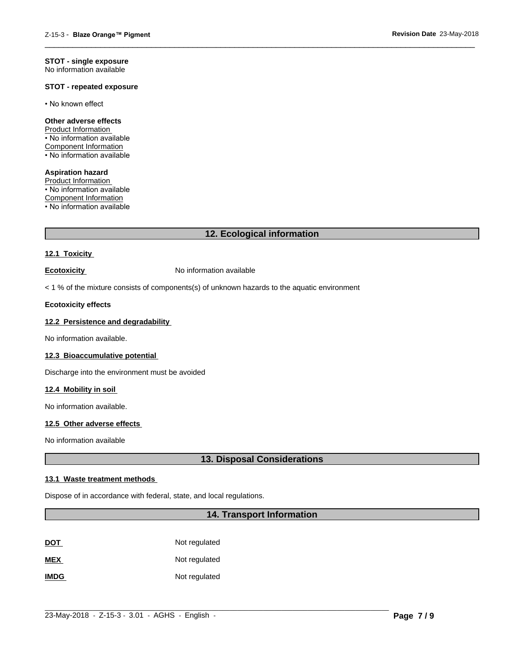#### **STOT - single exposure** No information available

#### **STOT - repeated exposure**

• No known effect

#### **Other adverse effects**

Product Information • No information available Component Information • No information available

**Aspiration hazard** Product Information • No information available Component Information • No information available

# **12. Ecological information**

 $\overline{\phantom{a}}$  ,  $\overline{\phantom{a}}$  ,  $\overline{\phantom{a}}$  ,  $\overline{\phantom{a}}$  ,  $\overline{\phantom{a}}$  ,  $\overline{\phantom{a}}$  ,  $\overline{\phantom{a}}$  ,  $\overline{\phantom{a}}$  ,  $\overline{\phantom{a}}$  ,  $\overline{\phantom{a}}$  ,  $\overline{\phantom{a}}$  ,  $\overline{\phantom{a}}$  ,  $\overline{\phantom{a}}$  ,  $\overline{\phantom{a}}$  ,  $\overline{\phantom{a}}$  ,  $\overline{\phantom{a}}$ 

### **12.1 Toxicity**

**Ecotoxicity No information available** 

 $<$  1 % of the mixture consists of components(s) of unknown hazards to the aquatic environment

#### **Ecotoxicity effects**

# **12.2 Persistence and degradability**

No information available.

#### **12.3 Bioaccumulative potential**

Discharge into the environment must be avoided

#### **12.4 Mobility in soil**

No information available.

#### **12.5 Other adverse effects**

No information available

# **13. Disposal Considerations**

#### **13.1 Waste treatment methods**

Dispose of in accordance with federal, state, and local regulations.

# **14. Transport Information**

| <u>DOT</u>  | Not regulated |
|-------------|---------------|
| <b>MEX</b>  | Not regulated |
| <b>IMDG</b> | Not regulated |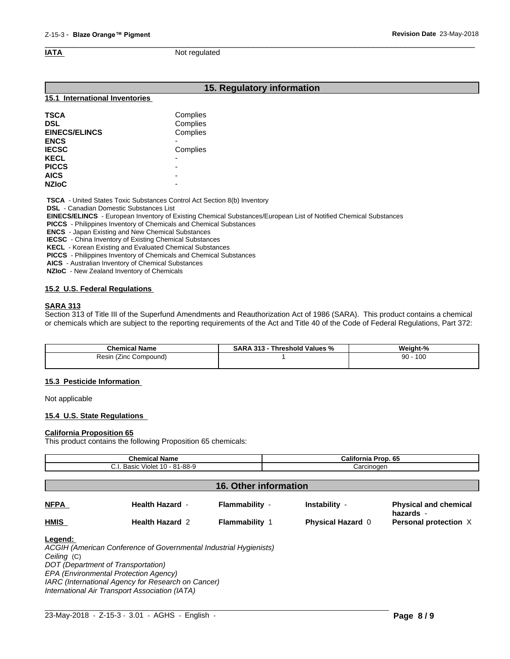$\overline{\phantom{a}}$  ,  $\overline{\phantom{a}}$  ,  $\overline{\phantom{a}}$  ,  $\overline{\phantom{a}}$  ,  $\overline{\phantom{a}}$  ,  $\overline{\phantom{a}}$  ,  $\overline{\phantom{a}}$  ,  $\overline{\phantom{a}}$  ,  $\overline{\phantom{a}}$  ,  $\overline{\phantom{a}}$  ,  $\overline{\phantom{a}}$  ,  $\overline{\phantom{a}}$  ,  $\overline{\phantom{a}}$  ,  $\overline{\phantom{a}}$  ,  $\overline{\phantom{a}}$  ,  $\overline{\phantom{a}}$ **IATA** Not regulated

# **15. Regulatory information**

#### **15.1 International Inventories**

| <b>TSCA</b>          | Complies                 |
|----------------------|--------------------------|
| <b>DSL</b>           | Complies                 |
| <b>EINECS/ELINCS</b> | Complies                 |
| <b>ENCS</b>          |                          |
| <b>IECSC</b>         | Complies                 |
| <b>KECL</b>          | $\overline{\phantom{0}}$ |
| <b>PICCS</b>         | -                        |
| <b>AICS</b>          | -                        |
| <b>NZIoC</b>         | -                        |

 **TSCA** - United States Toxic Substances Control Act Section 8(b) Inventory

 **DSL** - Canadian Domestic Substances List

 **EINECS/ELINCS** - European Inventory of Existing Chemical Substances/European List of Notified Chemical Substances

 **PICCS** - Philippines Inventory of Chemicals and Chemical Substances

 **ENCS** - Japan Existing and New Chemical Substances

 **IECSC** - China Inventory of Existing Chemical Substances

 **KECL** - Korean Existing and Evaluated Chemical Substances

 **PICCS** - Philippines Inventory of Chemicals and Chemical Substances

 **AICS** - Australian Inventory of Chemical Substances

 **NZIoC** - New Zealand Inventory of Chemicals

#### **15.2 U.S. Federal Regulations**

#### **SARA 313**

Section 313 of Title III of the Superfund Amendments and Reauthorization Act of 1986 (SARA). This product contains a chemical or chemicals which are subject to the reporting requirements of the Act and Title 40 of the Code of Federal Regulations, Part 372:

| <b>Chemical Name</b>        | 313<br>Threshold Values<br>SARA<br>. .<br>% | Weight-%  |
|-----------------------------|---------------------------------------------|-----------|
| Resin<br>Compound)<br>(∠inc |                                             | 100<br>90 |
|                             |                                             |           |

#### **15.3 Pesticide Information**

Not applicable

#### **15.4 U.S. State Regulations**

#### **California Proposition 65**

This product contains the following Proposition 65 chemicals:

| <b>Chemical Name</b><br>C.I. Basic Violet 10 - 81-88-9 |                        |                              | California Prop. 65<br>Carcinogen |                                           |
|--------------------------------------------------------|------------------------|------------------------------|-----------------------------------|-------------------------------------------|
|                                                        |                        |                              |                                   |                                           |
|                                                        |                        | <b>16. Other information</b> |                                   |                                           |
| <b>NFPA</b>                                            | <b>Health Hazard -</b> | Flammability -               | Instability -                     | <b>Physical and chemical</b><br>hazards - |
| <b>HMIS</b>                                            | <b>Health Hazard 2</b> | <b>Flammability 1</b>        | <b>Physical Hazard 0</b>          | Personal protection X                     |

 $\_$  ,  $\_$  ,  $\_$  ,  $\_$  ,  $\_$  ,  $\_$  ,  $\_$  ,  $\_$  ,  $\_$  ,  $\_$  ,  $\_$  ,  $\_$  ,  $\_$  ,  $\_$  ,  $\_$  ,  $\_$  ,  $\_$  ,  $\_$  ,  $\_$  ,  $\_$  ,  $\_$  ,  $\_$  ,  $\_$  ,  $\_$  ,  $\_$  ,  $\_$  ,  $\_$  ,  $\_$  ,  $\_$  ,  $\_$  ,  $\_$  ,  $\_$  ,  $\_$  ,  $\_$  ,  $\_$  ,  $\_$  ,  $\_$  ,

*Ceiling* (C) *DOT (Department of Transportation)*

*EPA (Environmental Protection Agency)*

*IARC (International Agency for Research on Cancer)*

*International Air Transport Association (IATA)*